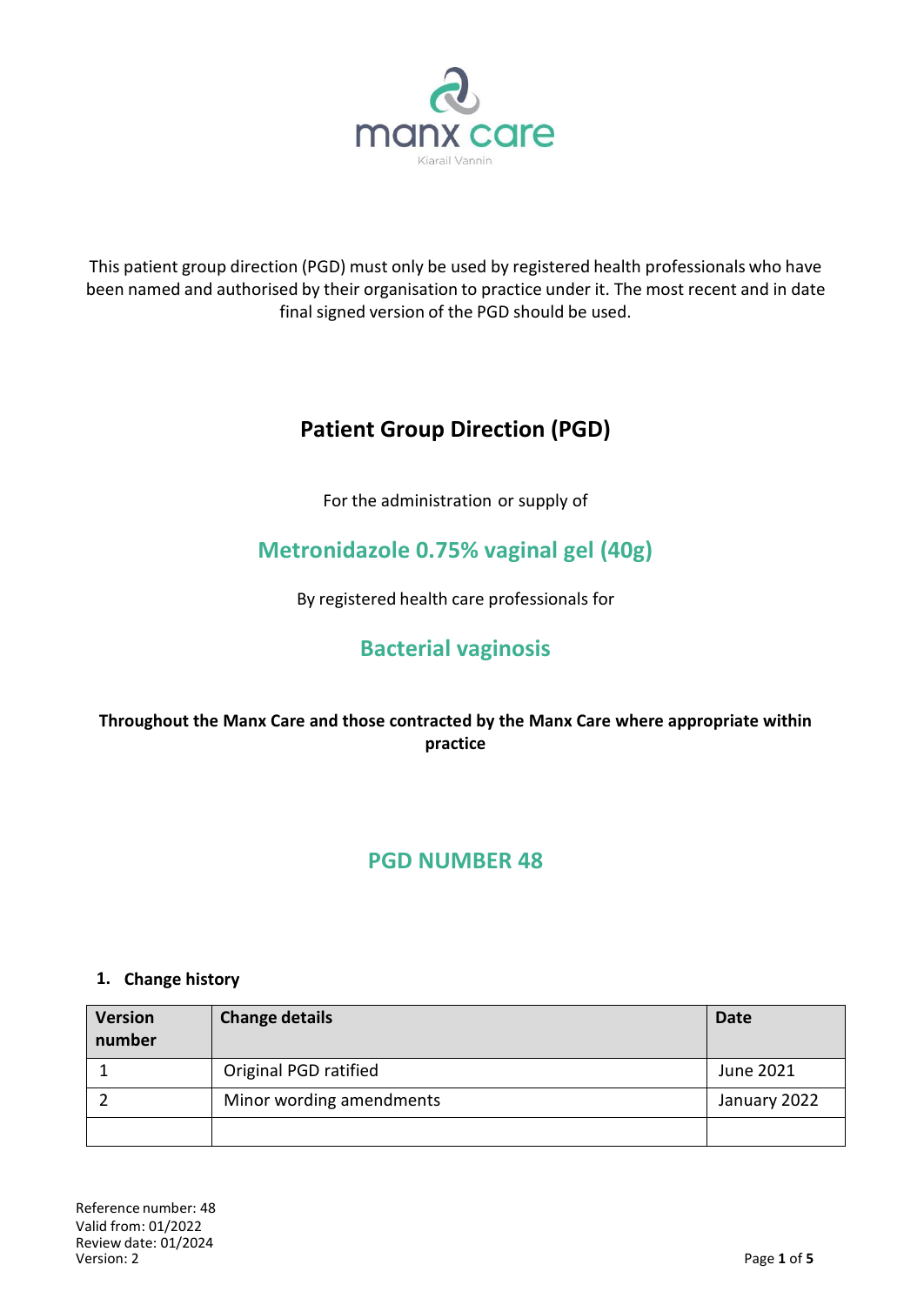

This patient group direction (PGD) must only be used by registered health professionals who have been named and authorised by their organisation to practice under it. The most recent and in date final signed version of the PGD should be used.

# **Patient Group Direction (PGD)**

For the administration or supply of

# **Metronidazole 0.75% vaginal gel (40g)**

By registered health care professionals for

## **Bacterial vaginosis**

### **Throughout the Manx Care and those contracted by the Manx Care where appropriate within practice**

### **PGD NUMBER 48**

#### **1. Change history**

| <b>Version</b><br>number | <b>Change details</b>    | <b>Date</b>  |
|--------------------------|--------------------------|--------------|
|                          | Original PGD ratified    | June 2021    |
|                          | Minor wording amendments | January 2022 |
|                          |                          |              |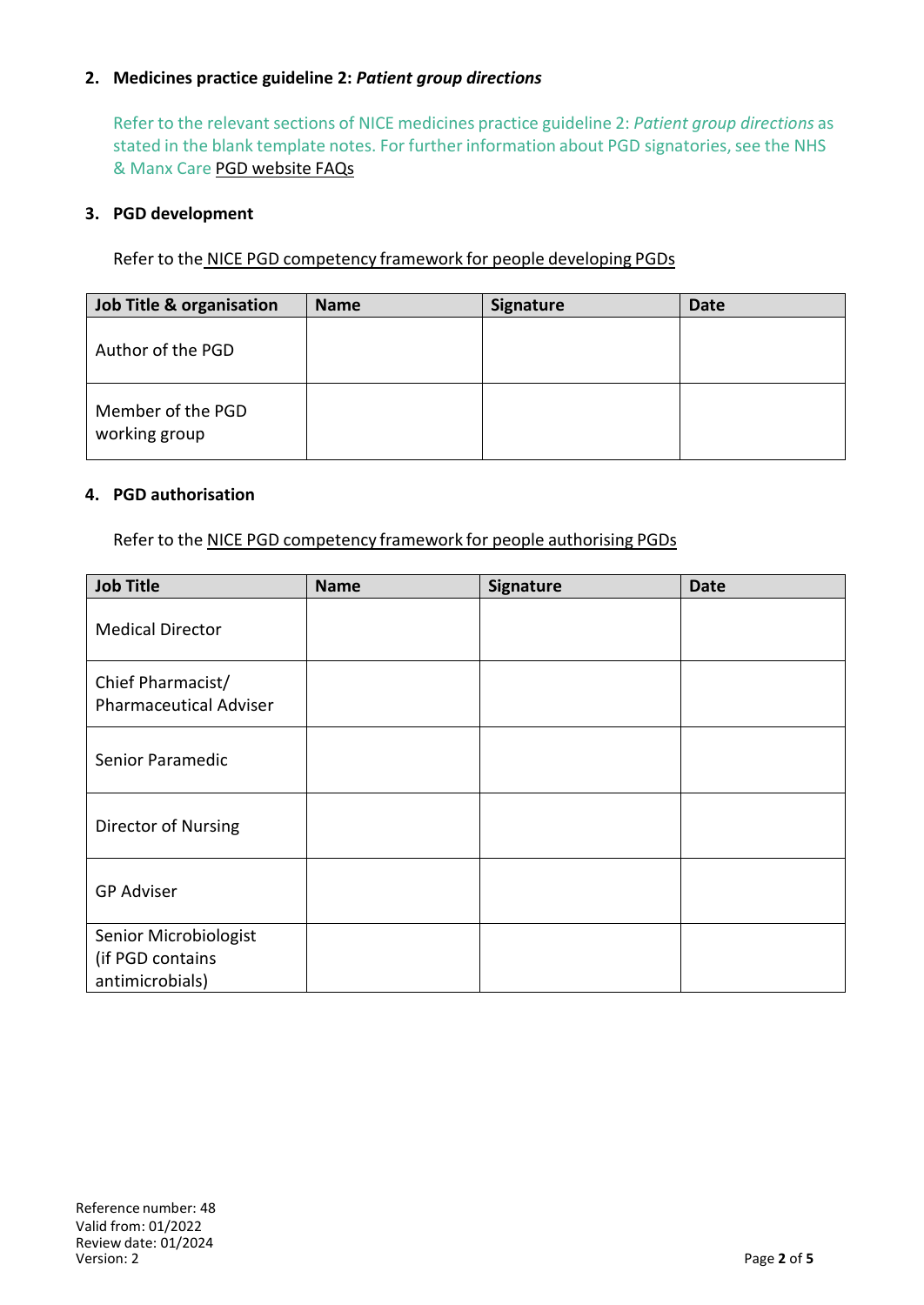#### **2. Medicines practice guideline 2:** *Patient group directions*

Refer to the relevant sections of NICE medicines practice guideline 2: *Patient group directions* as stated in the blank template notes. For further information about PGD signatories, see the NHS & Manx Care PGD website FAQs

#### **3. PGD development**

Refer to the NICE PGD competency framework for people developing PGDs

| Job Title & organisation           | <b>Name</b> | <b>Signature</b> | Date |
|------------------------------------|-------------|------------------|------|
| Author of the PGD                  |             |                  |      |
| Member of the PGD<br>working group |             |                  |      |

#### **4. PGD authorisation**

Refer to the NICE PGD competency framework for people authorising PGDs

| <b>Job Title</b>                                             | <b>Name</b> | Signature | <b>Date</b> |
|--------------------------------------------------------------|-------------|-----------|-------------|
| <b>Medical Director</b>                                      |             |           |             |
| Chief Pharmacist/<br><b>Pharmaceutical Adviser</b>           |             |           |             |
| Senior Paramedic                                             |             |           |             |
| Director of Nursing                                          |             |           |             |
| <b>GP Adviser</b>                                            |             |           |             |
| Senior Microbiologist<br>(if PGD contains<br>antimicrobials) |             |           |             |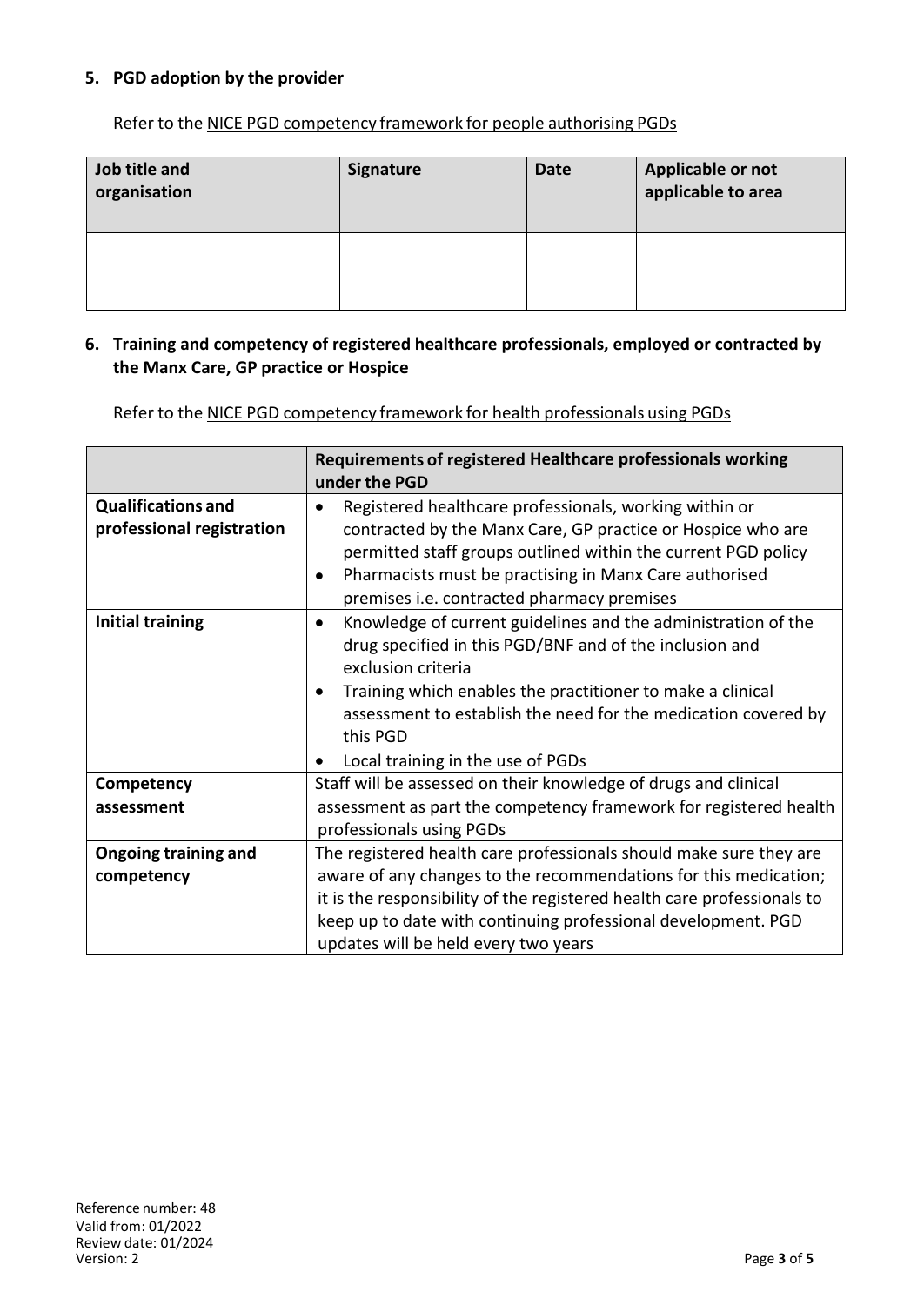#### **5. PGD adoption by the provider**

Refer to the NICE PGD [competency](http://www.nice.org.uk/guidance/mpg2/resources/mpg2-patient-group-directions5) framework for people authorising PGDs

| Job title and<br>organisation | <b>Signature</b> | <b>Date</b> | Applicable or not<br>applicable to area |
|-------------------------------|------------------|-------------|-----------------------------------------|
|                               |                  |             |                                         |

#### **6. Training and competency of registered healthcare professionals, employed or contracted by the Manx Care, GP practice or Hospice**

Refer to the NICE PGD competency framework for health [professionals](http://www.nice.org.uk/guidance/mpg2/resources/mpg2-patient-group-directions7) using PGDs

|                                                        | Requirements of registered Healthcare professionals working<br>under the PGD                                                                                                                                                                                                                                                                 |  |
|--------------------------------------------------------|----------------------------------------------------------------------------------------------------------------------------------------------------------------------------------------------------------------------------------------------------------------------------------------------------------------------------------------------|--|
| <b>Qualifications and</b><br>professional registration | Registered healthcare professionals, working within or<br>contracted by the Manx Care, GP practice or Hospice who are<br>permitted staff groups outlined within the current PGD policy<br>Pharmacists must be practising in Manx Care authorised<br>premises i.e. contracted pharmacy premises                                               |  |
| <b>Initial training</b>                                | Knowledge of current guidelines and the administration of the<br>$\bullet$<br>drug specified in this PGD/BNF and of the inclusion and<br>exclusion criteria<br>Training which enables the practitioner to make a clinical<br>assessment to establish the need for the medication covered by<br>this PGD<br>Local training in the use of PGDs |  |
| Competency                                             | Staff will be assessed on their knowledge of drugs and clinical                                                                                                                                                                                                                                                                              |  |
| assessment                                             | assessment as part the competency framework for registered health<br>professionals using PGDs                                                                                                                                                                                                                                                |  |
| <b>Ongoing training and</b>                            | The registered health care professionals should make sure they are                                                                                                                                                                                                                                                                           |  |
| competency                                             | aware of any changes to the recommendations for this medication;                                                                                                                                                                                                                                                                             |  |
|                                                        | it is the responsibility of the registered health care professionals to                                                                                                                                                                                                                                                                      |  |
|                                                        | keep up to date with continuing professional development. PGD                                                                                                                                                                                                                                                                                |  |
|                                                        | updates will be held every two years                                                                                                                                                                                                                                                                                                         |  |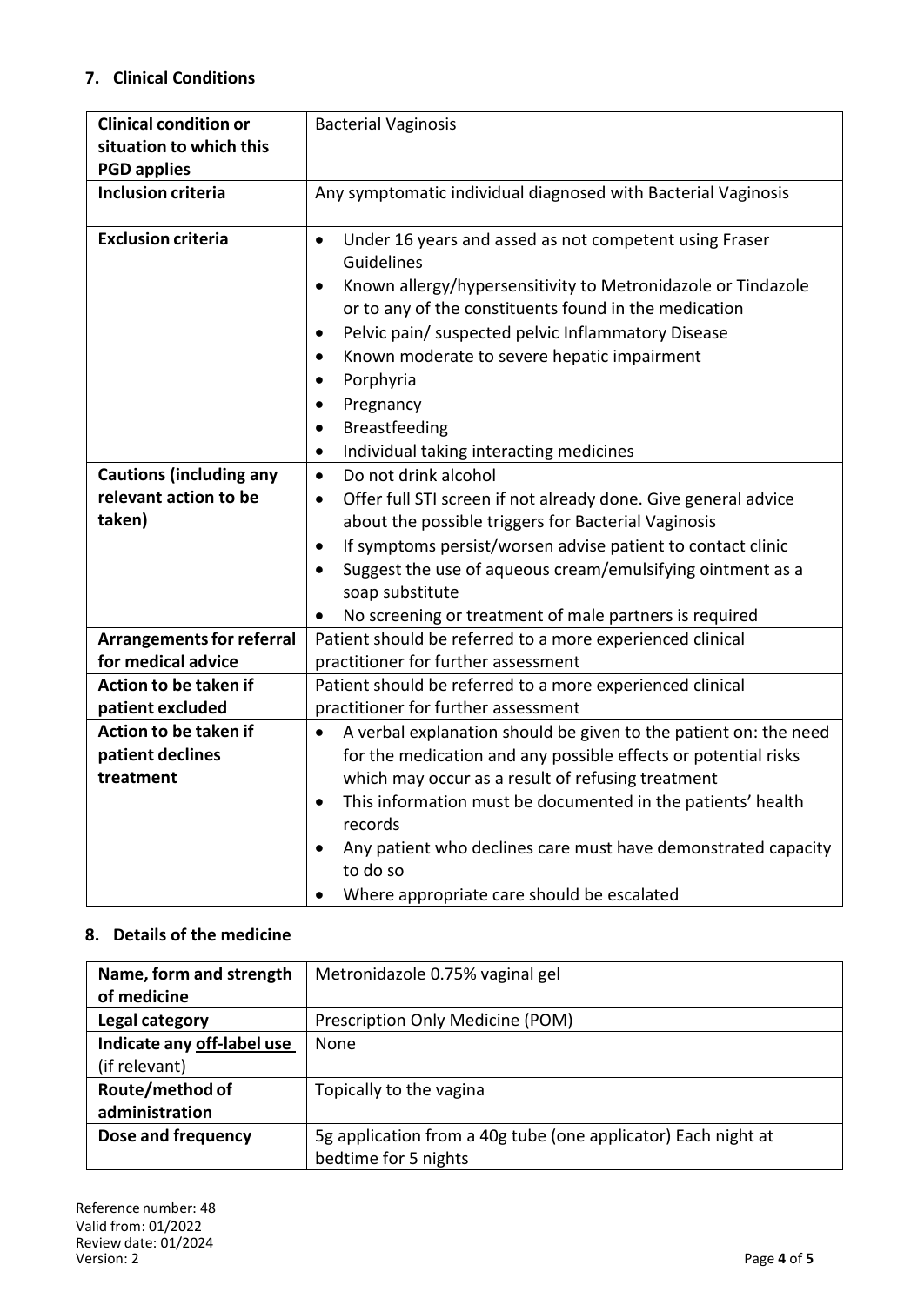### **7. Clinical Conditions**

| <b>Clinical condition or</b><br>situation to which this<br><b>PGD applies</b> | <b>Bacterial Vaginosis</b>                                                                                                                                                                                                                                                                                                                                                                                                          |
|-------------------------------------------------------------------------------|-------------------------------------------------------------------------------------------------------------------------------------------------------------------------------------------------------------------------------------------------------------------------------------------------------------------------------------------------------------------------------------------------------------------------------------|
| <b>Inclusion criteria</b>                                                     | Any symptomatic individual diagnosed with Bacterial Vaginosis                                                                                                                                                                                                                                                                                                                                                                       |
| <b>Exclusion criteria</b>                                                     | Under 16 years and assed as not competent using Fraser<br>$\bullet$<br>Guidelines<br>Known allergy/hypersensitivity to Metronidazole or Tindazole<br>$\bullet$<br>or to any of the constituents found in the medication<br>Pelvic pain/ suspected pelvic Inflammatory Disease<br>$\bullet$<br>Known moderate to severe hepatic impairment<br>$\bullet$<br>Porphyria<br>$\bullet$                                                    |
|                                                                               | Pregnancy<br>$\bullet$<br>Breastfeeding<br>Individual taking interacting medicines<br>$\bullet$                                                                                                                                                                                                                                                                                                                                     |
| <b>Cautions (including any</b><br>relevant action to be<br>taken)             | Do not drink alcohol<br>$\bullet$<br>Offer full STI screen if not already done. Give general advice<br>$\bullet$<br>about the possible triggers for Bacterial Vaginosis<br>If symptoms persist/worsen advise patient to contact clinic<br>$\bullet$<br>Suggest the use of aqueous cream/emulsifying ointment as a<br>$\bullet$<br>soap substitute<br>No screening or treatment of male partners is required                         |
| <b>Arrangements for referral</b>                                              | Patient should be referred to a more experienced clinical                                                                                                                                                                                                                                                                                                                                                                           |
| for medical advice                                                            | practitioner for further assessment                                                                                                                                                                                                                                                                                                                                                                                                 |
| <b>Action to be taken if</b><br>patient excluded                              | Patient should be referred to a more experienced clinical<br>practitioner for further assessment                                                                                                                                                                                                                                                                                                                                    |
| Action to be taken if<br>patient declines<br>treatment                        | A verbal explanation should be given to the patient on: the need<br>$\bullet$<br>for the medication and any possible effects or potential risks<br>which may occur as a result of refusing treatment<br>This information must be documented in the patients' health<br>$\bullet$<br>records<br>Any patient who declines care must have demonstrated capacity<br>$\bullet$<br>to do so<br>Where appropriate care should be escalated |

### **8. Details of the medicine**

| Name, form and strength    | Metronidazole 0.75% vaginal gel                               |
|----------------------------|---------------------------------------------------------------|
| of medicine                |                                                               |
| Legal category             | Prescription Only Medicine (POM)                              |
| Indicate any off-label use | None                                                          |
| (if relevant)              |                                                               |
| Route/method of            | Topically to the vagina                                       |
| administration             |                                                               |
| Dose and frequency         | 5g application from a 40g tube (one applicator) Each night at |
|                            | bedtime for 5 nights                                          |